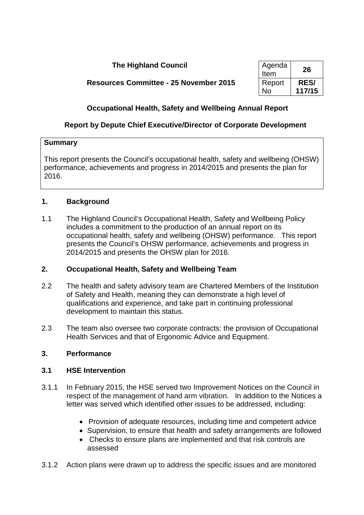# **The Highland Council**

| Agenda<br>Item | 26          |
|----------------|-------------|
| Report         | <b>RES/</b> |
| N٥             | 117/15      |

**Resources Committee - 25 November 2015** 

# **Occupational Health, Safety and Wellbeing Annual Report**

# **Report by Depute Chief Executive/Director of Corporate Development**

### **Summary**

This report presents the Council's occupational health, safety and wellbeing (OHSW) performance, achievements and progress in 2014/2015 and presents the plan for 2016.

## **1. Background**

1.1 The Highland Council's Occupational Health, Safety and Wellbeing Policy includes a commitment to the production of an annual report on its occupational health, safety and wellbeing (OHSW) performance. This report presents the Council's OHSW performance, achievements and progress in 2014/2015 and presents the OHSW plan for 2016.

## **2. Occupational Health, Safety and Wellbeing Team**

- 2.2 The health and safety advisory team are Chartered Members of the Institution of Safety and Health, meaning they can demonstrate a high level of qualifications and experience, and take part in continuing professional development to maintain this status.
- 2.3 The team also oversee two corporate contracts: the provision of Occupational Health Services and that of Ergonomic Advice and Equipment.

## **3. Performance**

## **3.1 HSE Intervention**

- 3.1.1 In February 2015, the HSE served two Improvement Notices on the Council in respect of the management of hand arm vibration. In addition to the Notices a letter was served which identified other issues to be addressed, including:
	- Provision of adequate resources, including time and competent advice
	- Supervision, to ensure that health and safety arrangements are followed
	- Checks to ensure plans are implemented and that risk controls are assessed
- 3.1.2 Action plans were drawn up to address the specific issues and are monitored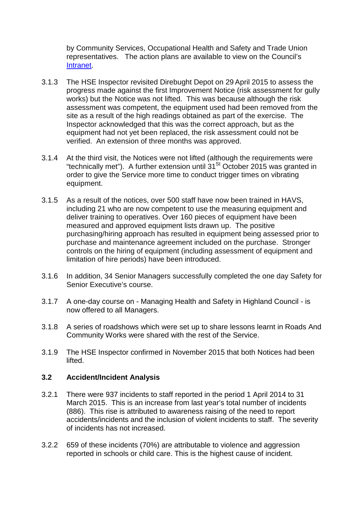by Community Services, Occupational Health and Safety and Trade Union representatives. The action plans are available to view on the Council's [Intranet.](http://ntintra1/persintra/health&safety/hs-w-havs.htm)

- 3.1.3 The HSE Inspector revisited Direbught Depot on 29 April 2015 to assess the progress made against the first Improvement Notice (risk assessment for gully works) but the Notice was not lifted. This was because although the risk assessment was competent, the equipment used had been removed from the site as a result of the high readings obtained as part of the exercise. The Inspector acknowledged that this was the correct approach, but as the equipment had not yet been replaced, the risk assessment could not be verified. An extension of three months was approved.
- 3.1.4 At the third visit, the Notices were not lifted (although the requirements were "technically met"). A further extension until  $31<sup>St</sup>$  October 2015 was granted in order to give the Service more time to conduct trigger times on vibrating equipment.
- 3.1.5 As a result of the notices, over 500 staff have now been trained in HAVS, including 21 who are now competent to use the measuring equipment and deliver training to operatives. Over 160 pieces of equipment have been measured and approved equipment lists drawn up. The positive purchasing/hiring approach has resulted in equipment being assessed prior to purchase and maintenance agreement included on the purchase. Stronger controls on the hiring of equipment (including assessment of equipment and limitation of hire periods) have been introduced.
- 3.1.6 In addition, 34 Senior Managers successfully completed the one day Safety for Senior Executive's course.
- 3.1.7 A one-day course on Managing Health and Safety in Highland Council is now offered to all Managers.
- 3.1.8 A series of roadshows which were set up to share lessons learnt in Roads And Community Works were shared with the rest of the Service.
- 3.1.9 The HSE Inspector confirmed in November 2015 that both Notices had been lifted.

#### **3.2 Accident/Incident Analysis**

- 3.2.1 There were 937 incidents to staff reported in the period 1 April 2014 to 31 March 2015. This is an increase from last year's total number of incidents (886). This rise is attributed to awareness raising of the need to report accidents/incidents and the inclusion of violent incidents to staff. The severity of incidents has not increased.
- 3.2.2 659 of these incidents (70%) are attributable to violence and aggression reported in schools or child care. This is the highest cause of incident.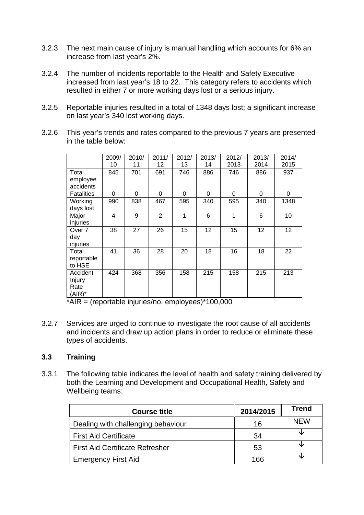- 3.2.3 The next main cause of injury is manual handling which accounts for 6% an increase from last year's 2%.
- 3.2.4 The number of incidents reportable to the Health and Safety Executive increased from last year's 18 to 22. This category refers to accidents which resulted in either 7 or more working days lost or a serious injury.
- 3.2.5 Reportable injuries resulted in a total of 1348 days lost; a significant increase on last year's 340 lost working days.
- 3.2.6 This year's trends and rates compared to the previous 7 years are presented in the table below:

|                                      | 2009/<br>10 | 2010/<br>11 | 2011/<br>12    | 2012/<br>13 | 2013/<br>14 | 2012/<br>2013 | 2013/<br>2014 | 2014/<br>2015 |
|--------------------------------------|-------------|-------------|----------------|-------------|-------------|---------------|---------------|---------------|
| Total<br>employee<br>accidents       | 845         | 701         | 691            | 746         | 886         | 746           | 886           | 937           |
| <b>Fatalities</b>                    | 0           | $\Omega$    | 0              | $\Omega$    | $\Omega$    | $\Omega$      | $\Omega$      | 0             |
| Working<br>days lost                 | 990         | 838         | 467            | 595         | 340         | 595           | 340           | 1348          |
| Major<br>injuries                    | 4           | 9           | $\overline{2}$ | 1           | 6           | 1             | 6             | 10            |
| Over 7<br>day<br>injuries            | 38          | 27          | 26             | 15          | 12          | 15            | 12            | 12            |
| Total<br>reportable<br>to HSE        | 41          | 36          | 28             | 20          | 18          | 16            | 18            | 22            |
| Accident<br>Injury<br>Rate<br>(AIR)* | 424         | 368         | 356            | 158         | 215         | 158           | 215           | 213           |

 $*AIR =$  (reportable injuries/no. employees) $*100,000$ 

3.2.7 Services are urged to continue to investigate the root cause of all accidents and incidents and draw up action plans in order to reduce or eliminate these types of accidents.

### **3.3 Training**

3.3.1 The following table indicates the level of health and safety training delivered by both the Learning and Development and Occupational Health, Safety and Wellbeing teams:

| <b>Course title</b>                    | 2014/2015 | <b>Trend</b> |
|----------------------------------------|-----------|--------------|
| Dealing with challenging behaviour     | 16        | <b>NEW</b>   |
| <b>First Aid Certificate</b>           | 34        | ₩            |
| <b>First Aid Certificate Refresher</b> | 53        |              |
| <b>Emergency First Aid</b>             | 166       |              |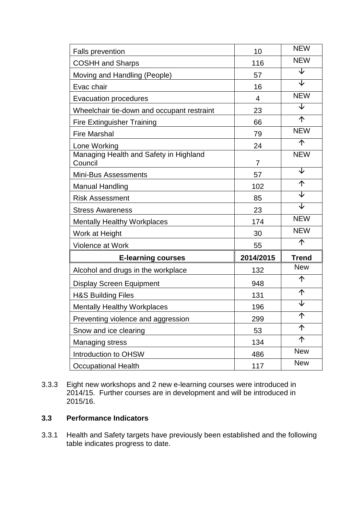| <b>Falls prevention</b>                           | 10        | <b>NEW</b>              |
|---------------------------------------------------|-----------|-------------------------|
| <b>COSHH and Sharps</b>                           | 116       | <b>NEW</b>              |
| Moving and Handling (People)                      | 57        | ↓                       |
| Evac chair                                        | 16        | $\overline{\mathsf{L}}$ |
| <b>Evacuation procedures</b>                      | 4         | <b>NEW</b>              |
| Wheelchair tie-down and occupant restraint        | 23        | ↓                       |
| <b>Fire Extinguisher Training</b>                 | 66        | 个                       |
| <b>Fire Marshal</b>                               | 79        | <b>NEW</b>              |
| Lone Working                                      | 24        | 个                       |
| Managing Health and Safety in Highland<br>Council | 7         | <b>NEW</b>              |
| Mini-Bus Assessments                              | 57        | ↓                       |
| <b>Manual Handling</b>                            | 102       | 个                       |
| <b>Risk Assessment</b>                            | 85        | ↓                       |
| <b>Stress Awareness</b>                           | 23        | $\overline{\mathsf{V}}$ |
| <b>Mentally Healthy Workplaces</b>                | 174       | <b>NEW</b>              |
| Work at Height                                    | 30        | <b>NEW</b>              |
| Violence at Work                                  | 55        | 个                       |
| <b>E-learning courses</b>                         | 2014/2015 | <b>Trend</b>            |
| Alcohol and drugs in the workplace                | 132       | <b>New</b>              |
| <b>Display Screen Equipment</b>                   | 948       | 个                       |
| <b>H&amp;S Building Files</b>                     | 131       | 个                       |
| <b>Mentally Healthy Workplaces</b>                | 196       | ↓                       |
| Preventing violence and aggression                | 299       | 个                       |
| Snow and ice clearing                             | 53        | 个                       |
| <b>Managing stress</b>                            | 134       | 个                       |
| Introduction to OHSW                              | 486       | <b>New</b>              |
| <b>Occupational Health</b>                        | 117       | <b>New</b>              |

3.3.3 Eight new workshops and 2 new e-learning courses were introduced in 2014/15. Further courses are in development and will be introduced in 2015/16.

## **3.3 Performance Indicators**

3.3.1 Health and Safety targets have previously been established and the following table indicates progress to date.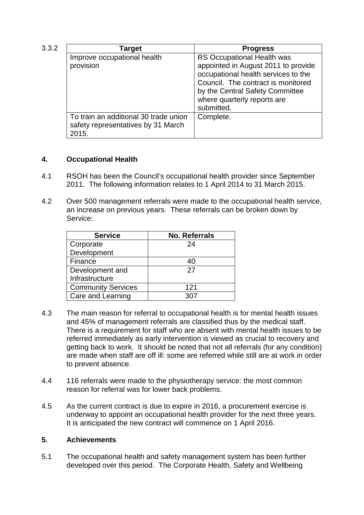| 3.3.2 | <b>Target</b>                                                                        | <b>Progress</b>                                                                                                                                                                                  |  |  |
|-------|--------------------------------------------------------------------------------------|--------------------------------------------------------------------------------------------------------------------------------------------------------------------------------------------------|--|--|
|       | Improve occupational health                                                          | RS Occupational Health was                                                                                                                                                                       |  |  |
|       | provision                                                                            | appointed in August 2011 to provide<br>occupational health services to the<br>Council. The contract is monitored<br>by the Central Safety Committee<br>where quarterly reports are<br>submitted. |  |  |
|       | To train an additional 30 trade union<br>safety representatives by 31 March<br>2015. | Complete.                                                                                                                                                                                        |  |  |

## **4. Occupational Health**

- 4.1 RSOH has been the Council's occupational health provider since September 2011. The following information relates to 1 April 2014 to 31 March 2015.
- 4.2 Over 500 management referrals were made to the occupational health service, an increase on previous years. These referrals can be broken down by Service:

| <b>Service</b>            | <b>No. Referrals</b> |
|---------------------------|----------------------|
| Corporate                 | 24                   |
| Development               |                      |
| Finance                   | 40                   |
| Development and           | 27                   |
| Infrastructure            |                      |
| <b>Community Services</b> | 121                  |
| Care and Learning         | 307                  |

- 4.3 The main reason for referral to occupational health is for mental health issues and 45% of management referrals are classified thus by the medical staff. There is a requirement for staff who are absent with mental health issues to be referred immediately as early intervention is viewed as crucial to recovery and getting back to work. It should be noted that not all referrals (for any condition) are made when staff are off ill: some are referred while still are at work in order to prevent absence.
- 4.4 116 referrals were made to the physiotherapy service: the most common reason for referral was for lower back problems.
- 4.5 As the current contract is due to expire in 2016, a procurement exercise is underway to appoint an occupational health provider for the next three years. It is anticipated the new contract will commence on 1 April 2016.

### **5. Achievements**

5.1 The occupational health and safety management system has been further developed over this period. The Corporate Health, Safety and Wellbeing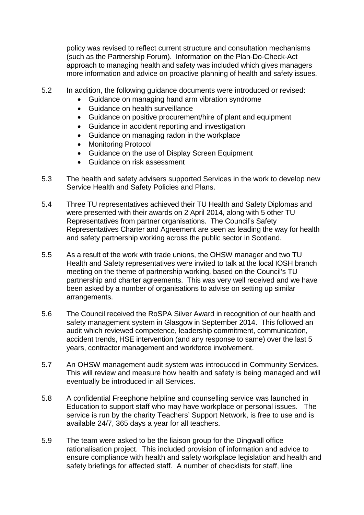policy was revised to reflect current structure and consultation mechanisms (such as the Partnership Forum). Information on the Plan-Do-Check-Act approach to managing health and safety was included which gives managers more information and advice on proactive planning of health and safety issues.

- 5.2 In addition, the following guidance documents were introduced or revised:
	- Guidance on managing hand arm vibration syndrome
	- Guidance on health surveillance
	- Guidance on positive procurement/hire of plant and equipment
	- Guidance in accident reporting and investigation
	- Guidance on managing radon in the workplace
	- Monitoring Protocol
	- Guidance on the use of Display Screen Equipment
	- Guidance on risk assessment
- 5.3 The health and safety advisers supported Services in the work to develop new Service Health and Safety Policies and Plans.
- 5.4 Three TU representatives achieved their TU Health and Safety Diplomas and were presented with their awards on 2 April 2014, along with 5 other TU Representatives from partner organisations. The Council's Safety Representatives Charter and Agreement are seen as leading the way for health and safety partnership working across the public sector in Scotland.
- 5.5 As a result of the work with trade unions, the OHSW manager and two TU Health and Safety representatives were invited to talk at the local IOSH branch meeting on the theme of partnership working, based on the Council's TU partnership and charter agreements. This was very well received and we have been asked by a number of organisations to advise on setting up similar arrangements.
- 5.6 The Council received the RoSPA Silver Award in recognition of our health and safety management system in Glasgow in September 2014. This followed an audit which reviewed competence, leadership commitment, communication, accident trends, HSE intervention (and any response to same) over the last 5 years, contractor management and workforce involvement.
- 5.7 An OHSW management audit system was introduced in Community Services. This will review and measure how health and safety is being managed and will eventually be introduced in all Services.
- 5.8 A confidential Freephone helpline and counselling service was launched in Education to support staff who may have workplace or personal issues. The service is run by the charity Teachers' Support Network, is free to use and is available 24/7, 365 days a year for all teachers.
- 5.9 The team were asked to be the liaison group for the Dingwall office rationalisation project. This included provision of information and advice to ensure compliance with health and safety workplace legislation and health and safety briefings for affected staff. A number of checklists for staff, line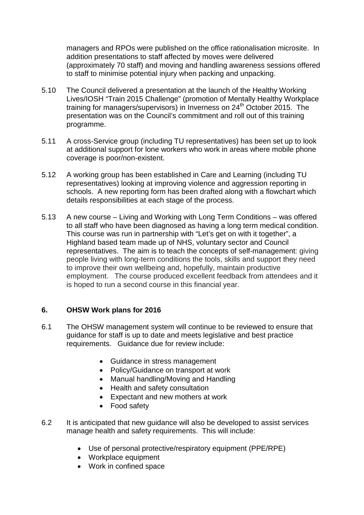managers and RPOs were published on the office rationalisation microsite. In addition presentations to staff affected by moves were delivered (approximately 70 staff) and moving and handling awareness sessions offered to staff to minimise potential injury when packing and unpacking.

- 5.10 The Council delivered a presentation at the launch of the Healthy Working Lives/IOSH "Train 2015 Challenge" (promotion of Mentally Healthy Workplace training for managers/supervisors) in Inverness on 24th October 2015. The presentation was on the Council's commitment and roll out of this training programme.
- 5.11 A cross-Service group (including TU representatives) has been set up to look at additional support for lone workers who work in areas where mobile phone coverage is poor/non-existent.
- 5.12 A working group has been established in Care and Learning (including TU representatives) looking at improving violence and aggression reporting in schools. A new reporting form has been drafted along with a flowchart which details responsibilities at each stage of the process.
- 5.13 A new course Living and Working with Long Term Conditions was offered to all staff who have been diagnosed as having a long term medical condition. This course was run in partnership with "Let's get on with it together", a Highland based team made up of NHS, voluntary sector and Council representatives. The aim is to teach the concepts of self-management: giving people living with long-term conditions the tools, skills and support they need to improve their own wellbeing and, hopefully, maintain productive employment. The course produced excellent feedback from attendees and it is hoped to run a second course in this financial year.

## **6. OHSW Work plans for 2016**

- 6.1 The OHSW management system will continue to be reviewed to ensure that guidance for staff is up to date and meets legislative and best practice requirements. Guidance due for review include:
	- Guidance in stress management
	- Policy/Guidance on transport at work
	- Manual handling/Moving and Handling
	- Health and safety consultation
	- Expectant and new mothers at work
	- Food safety
- 6.2 It is anticipated that new guidance will also be developed to assist services manage health and safety requirements. This will include:
	- Use of personal protective/respiratory equipment (PPE/RPE)
	- Workplace equipment
	- Work in confined space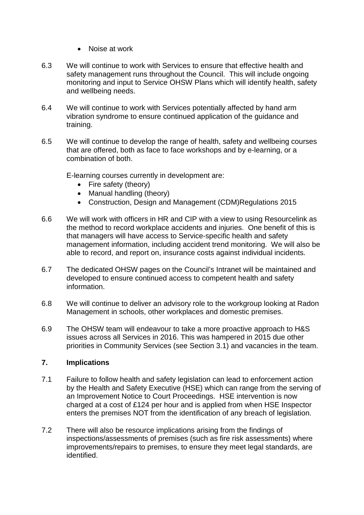- Noise at work
- 6.3 We will continue to work with Services to ensure that effective health and safety management runs throughout the Council. This will include ongoing monitoring and input to Service OHSW Plans which will identify health, safety and wellbeing needs.
- 6.4 We will continue to work with Services potentially affected by hand arm vibration syndrome to ensure continued application of the guidance and training.
- 6.5 We will continue to develop the range of health, safety and wellbeing courses that are offered, both as face to face workshops and by e-learning, or a combination of both.

E-learning courses currently in development are:

- Fire safety (theory)
- Manual handling (theory)
- Construction, Design and Management (CDM)Regulations 2015
- 6.6 We will work with officers in HR and CIP with a view to using Resourcelink as the method to record workplace accidents and injuries. One benefit of this is that managers will have access to Service-specific health and safety management information, including accident trend monitoring. We will also be able to record, and report on, insurance costs against individual incidents.
- 6.7 The dedicated OHSW pages on the Council's Intranet will be maintained and developed to ensure continued access to competent health and safety information.
- 6.8 We will continue to deliver an advisory role to the workgroup looking at Radon Management in schools, other workplaces and domestic premises.
- 6.9 The OHSW team will endeavour to take a more proactive approach to H&S issues across all Services in 2016. This was hampered in 2015 due other priorities in Community Services (see Section 3.1) and vacancies in the team.

## **7. Implications**

- 7.1 Failure to follow health and safety legislation can lead to enforcement action by the Health and Safety Executive (HSE) which can range from the serving of an Improvement Notice to Court Proceedings. HSE intervention is now charged at a cost of £124 per hour and is applied from when HSE Inspector enters the premises NOT from the identification of any breach of legislation.
- 7.2 There will also be resource implications arising from the findings of inspections/assessments of premises (such as fire risk assessments) where improvements/repairs to premises, to ensure they meet legal standards, are identified.